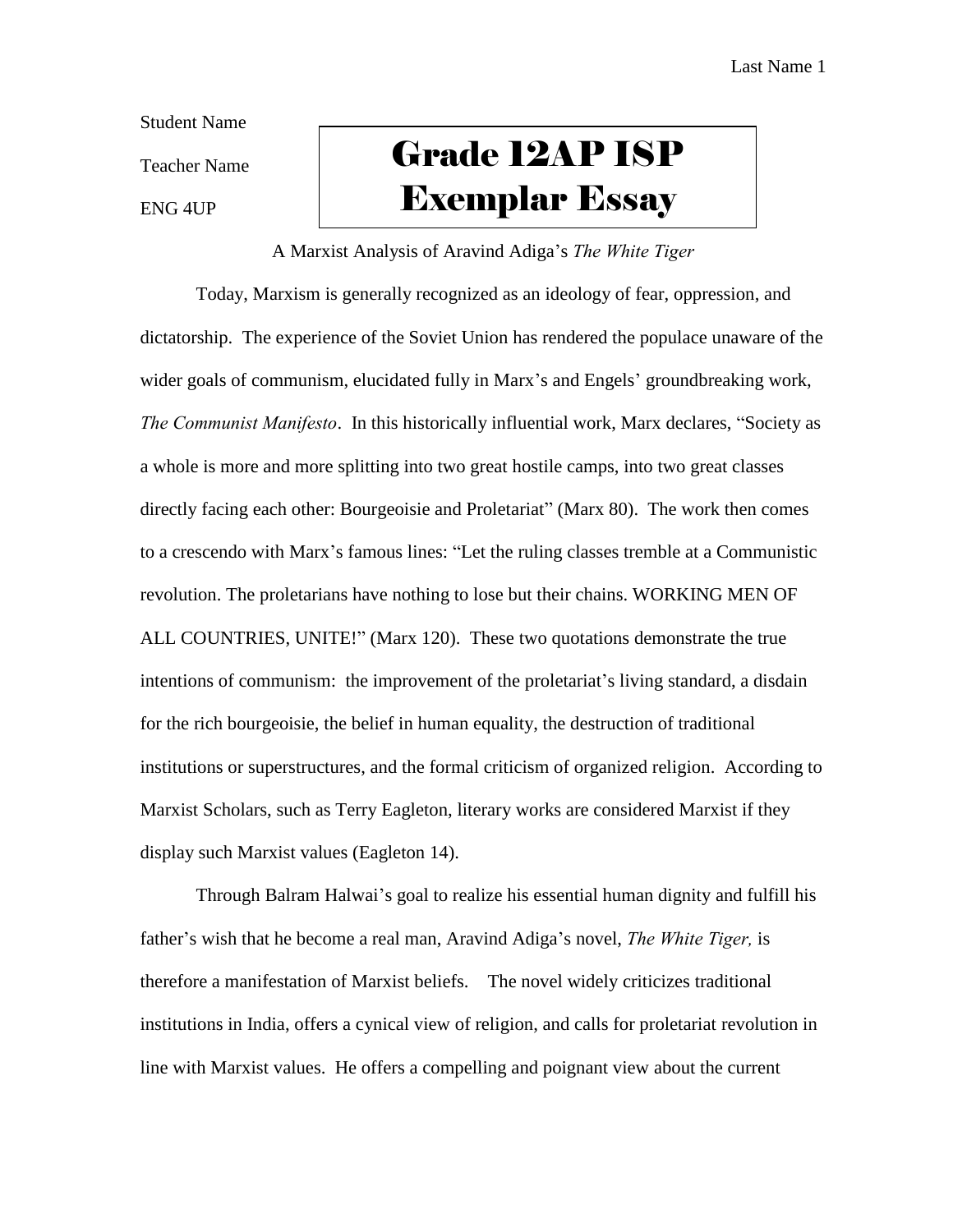Student Name

Teacher Name

ENG 4UP

## Grade 12AP ISP Exemplar Essay

## A Marxist Analysis of Aravind Adiga's *The White Tiger*

Today, Marxism is generally recognized as an ideology of fear, oppression, and dictatorship. The experience of the Soviet Union has rendered the populace unaware of the wider goals of communism, elucidated fully in Marx's and Engels' groundbreaking work, *The Communist Manifesto*. In this historically influential work, Marx declares, "Society as a whole is more and more splitting into two great hostile camps, into two great classes directly facing each other: Bourgeoisie and Proletariat" (Marx 80). The work then comes to a crescendo with Marx's famous lines: "Let the ruling classes tremble at a Communistic revolution. The proletarians have nothing to lose but their chains. WORKING MEN OF ALL COUNTRIES, UNITE!" (Marx 120). These two quotations demonstrate the true intentions of communism: the improvement of the proletariat's living standard, a disdain for the rich bourgeoisie, the belief in human equality, the destruction of traditional institutions or superstructures, and the formal criticism of organized religion. According to Marxist Scholars, such as Terry Eagleton, literary works are considered Marxist if they display such Marxist values (Eagleton 14).

Through Balram Halwai's goal to realize his essential human dignity and fulfill his father's wish that he become a real man, Aravind Adiga's novel, *The White Tiger,* is therefore a manifestation of Marxist beliefs. The novel widely criticizes traditional institutions in India, offers a cynical view of religion, and calls for proletariat revolution in line with Marxist values. He offers a compelling and poignant view about the current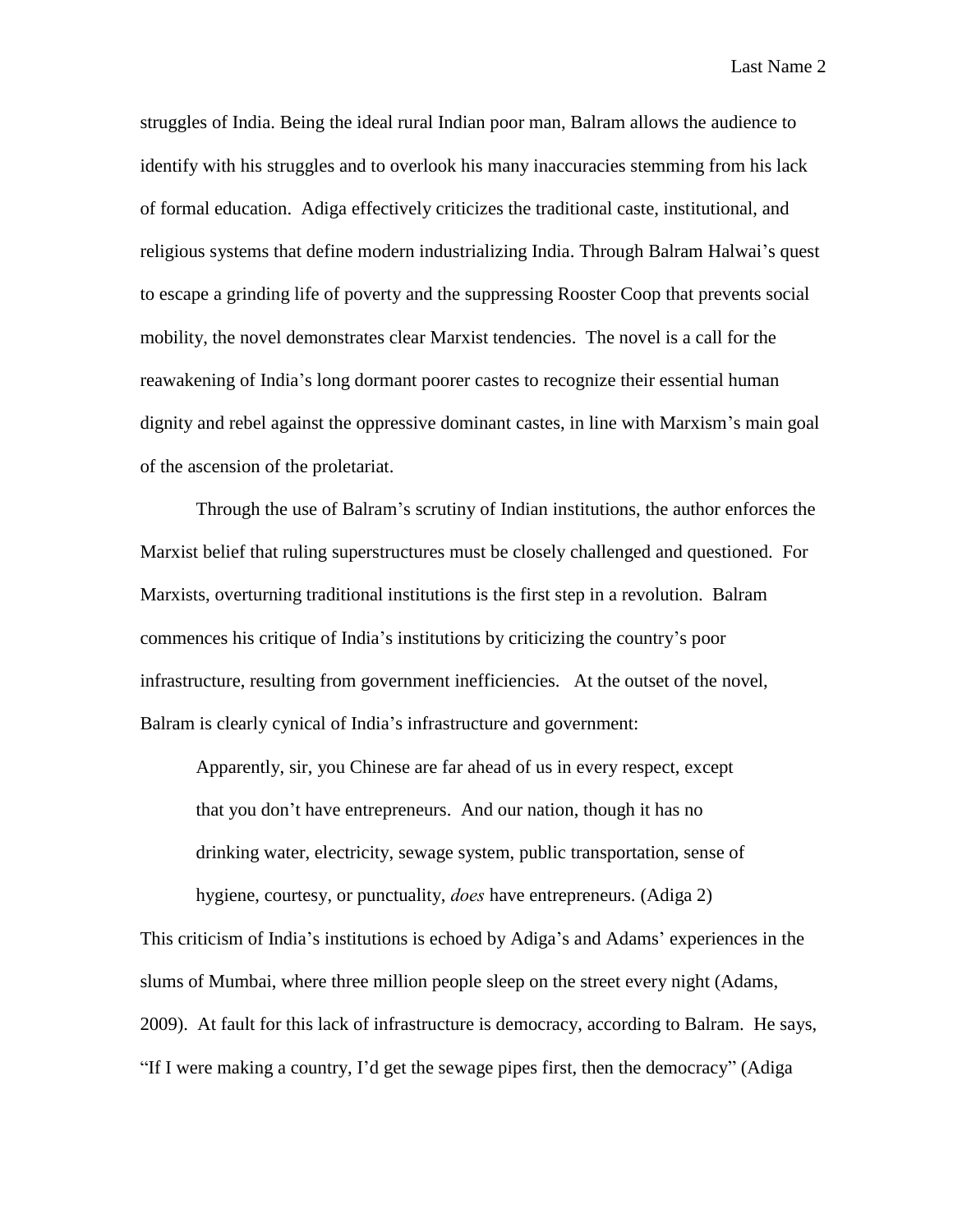Last Name 2

struggles of India. Being the ideal rural Indian poor man, Balram allows the audience to identify with his struggles and to overlook his many inaccuracies stemming from his lack of formal education. Adiga effectively criticizes the traditional caste, institutional, and religious systems that define modern industrializing India. Through Balram Halwai's quest to escape a grinding life of poverty and the suppressing Rooster Coop that prevents social mobility, the novel demonstrates clear Marxist tendencies. The novel is a call for the reawakening of India's long dormant poorer castes to recognize their essential human dignity and rebel against the oppressive dominant castes, in line with Marxism's main goal of the ascension of the proletariat.

Through the use of Balram's scrutiny of Indian institutions, the author enforces the Marxist belief that ruling superstructures must be closely challenged and questioned. For Marxists, overturning traditional institutions is the first step in a revolution. Balram commences his critique of India's institutions by criticizing the country's poor infrastructure, resulting from government inefficiencies. At the outset of the novel, Balram is clearly cynical of India's infrastructure and government:

Apparently, sir, you Chinese are far ahead of us in every respect, except that you don't have entrepreneurs. And our nation, though it has no drinking water, electricity, sewage system, public transportation, sense of hygiene, courtesy, or punctuality, *does* have entrepreneurs. (Adiga 2)

This criticism of India's institutions is echoed by Adiga's and Adams' experiences in the slums of Mumbai, where three million people sleep on the street every night (Adams, 2009). At fault for this lack of infrastructure is democracy, according to Balram. He says, "If I were making a country, I'd get the sewage pipes first, then the democracy" (Adiga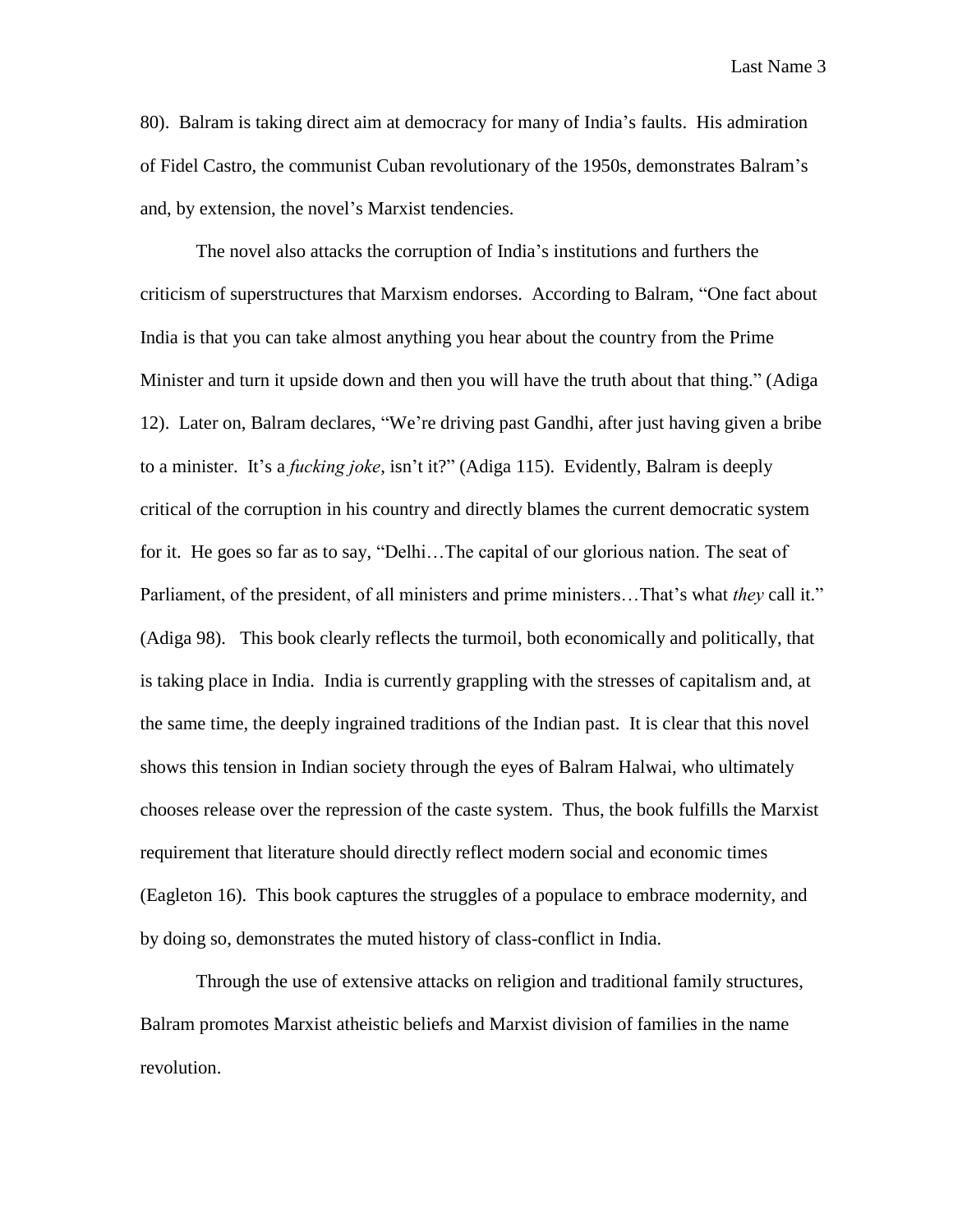Last Name 3

80). Balram is taking direct aim at democracy for many of India's faults. His admiration of Fidel Castro, the communist Cuban revolutionary of the 1950s, demonstrates Balram's and, by extension, the novel's Marxist tendencies.

The novel also attacks the corruption of India's institutions and furthers the criticism of superstructures that Marxism endorses. According to Balram, "One fact about India is that you can take almost anything you hear about the country from the Prime Minister and turn it upside down and then you will have the truth about that thing." (Adiga 12). Later on, Balram declares, "We're driving past Gandhi, after just having given a bribe to a minister. It's a *fucking joke*, isn't it?" (Adiga 115). Evidently, Balram is deeply critical of the corruption in his country and directly blames the current democratic system for it. He goes so far as to say, "Delhi…The capital of our glorious nation. The seat of Parliament, of the president, of all ministers and prime ministers…That's what *they* call it." (Adiga 98). This book clearly reflects the turmoil, both economically and politically, that is taking place in India. India is currently grappling with the stresses of capitalism and, at the same time, the deeply ingrained traditions of the Indian past. It is clear that this novel shows this tension in Indian society through the eyes of Balram Halwai, who ultimately chooses release over the repression of the caste system. Thus, the book fulfills the Marxist requirement that literature should directly reflect modern social and economic times (Eagleton 16). This book captures the struggles of a populace to embrace modernity, and by doing so, demonstrates the muted history of class-conflict in India.

Through the use of extensive attacks on religion and traditional family structures, Balram promotes Marxist atheistic beliefs and Marxist division of families in the name revolution.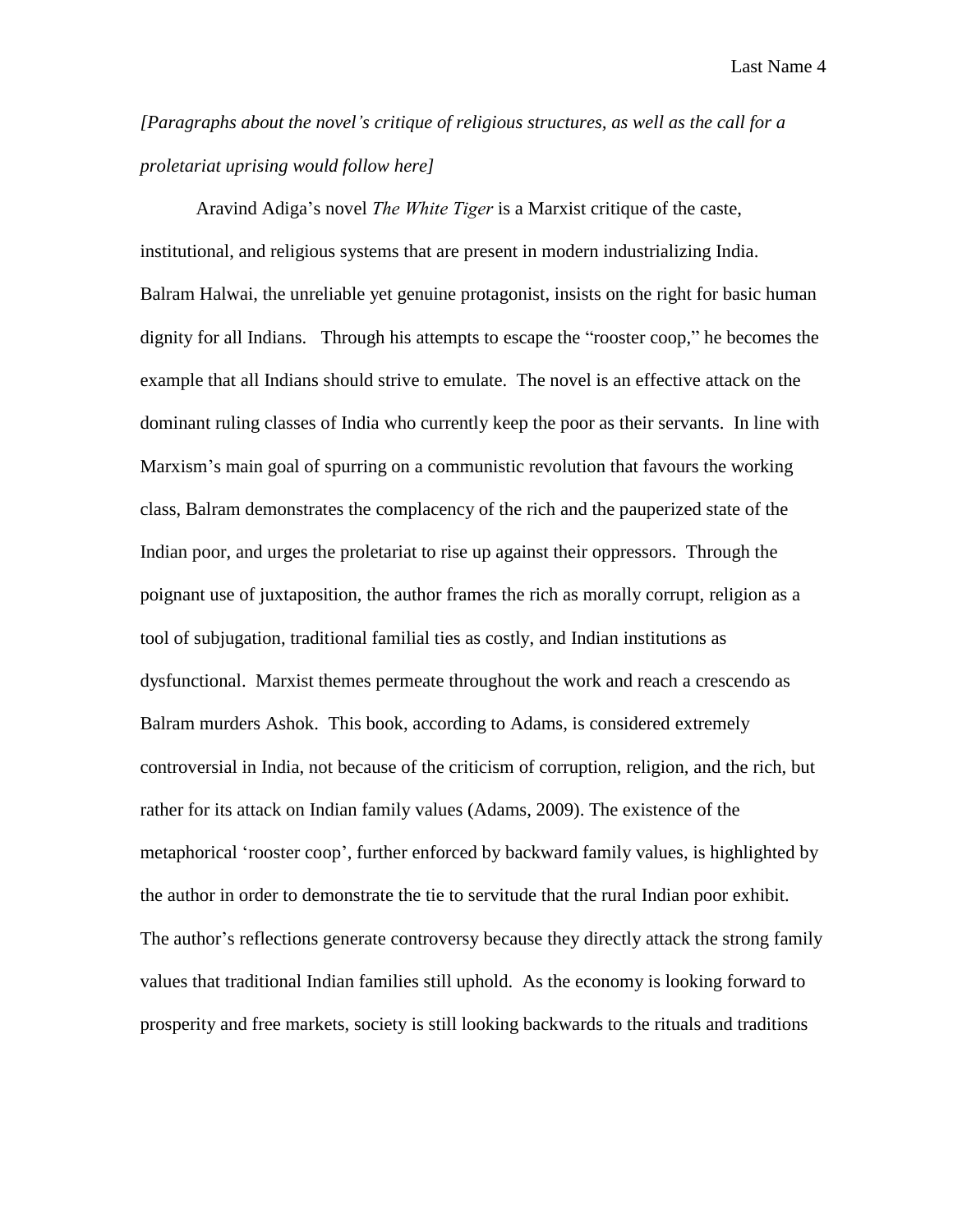Last Name 4

*[Paragraphs about the novel's critique of religious structures, as well as the call for a proletariat uprising would follow here]*

Aravind Adiga's novel *The White Tiger* is a Marxist critique of the caste, institutional, and religious systems that are present in modern industrializing India. Balram Halwai, the unreliable yet genuine protagonist, insists on the right for basic human dignity for all Indians. Through his attempts to escape the "rooster coop," he becomes the example that all Indians should strive to emulate. The novel is an effective attack on the dominant ruling classes of India who currently keep the poor as their servants. In line with Marxism's main goal of spurring on a communistic revolution that favours the working class, Balram demonstrates the complacency of the rich and the pauperized state of the Indian poor, and urges the proletariat to rise up against their oppressors. Through the poignant use of juxtaposition, the author frames the rich as morally corrupt, religion as a tool of subjugation, traditional familial ties as costly, and Indian institutions as dysfunctional. Marxist themes permeate throughout the work and reach a crescendo as Balram murders Ashok. This book, according to Adams, is considered extremely controversial in India, not because of the criticism of corruption, religion, and the rich, but rather for its attack on Indian family values (Adams, 2009). The existence of the metaphorical 'rooster coop', further enforced by backward family values, is highlighted by the author in order to demonstrate the tie to servitude that the rural Indian poor exhibit. The author's reflections generate controversy because they directly attack the strong family values that traditional Indian families still uphold. As the economy is looking forward to prosperity and free markets, society is still looking backwards to the rituals and traditions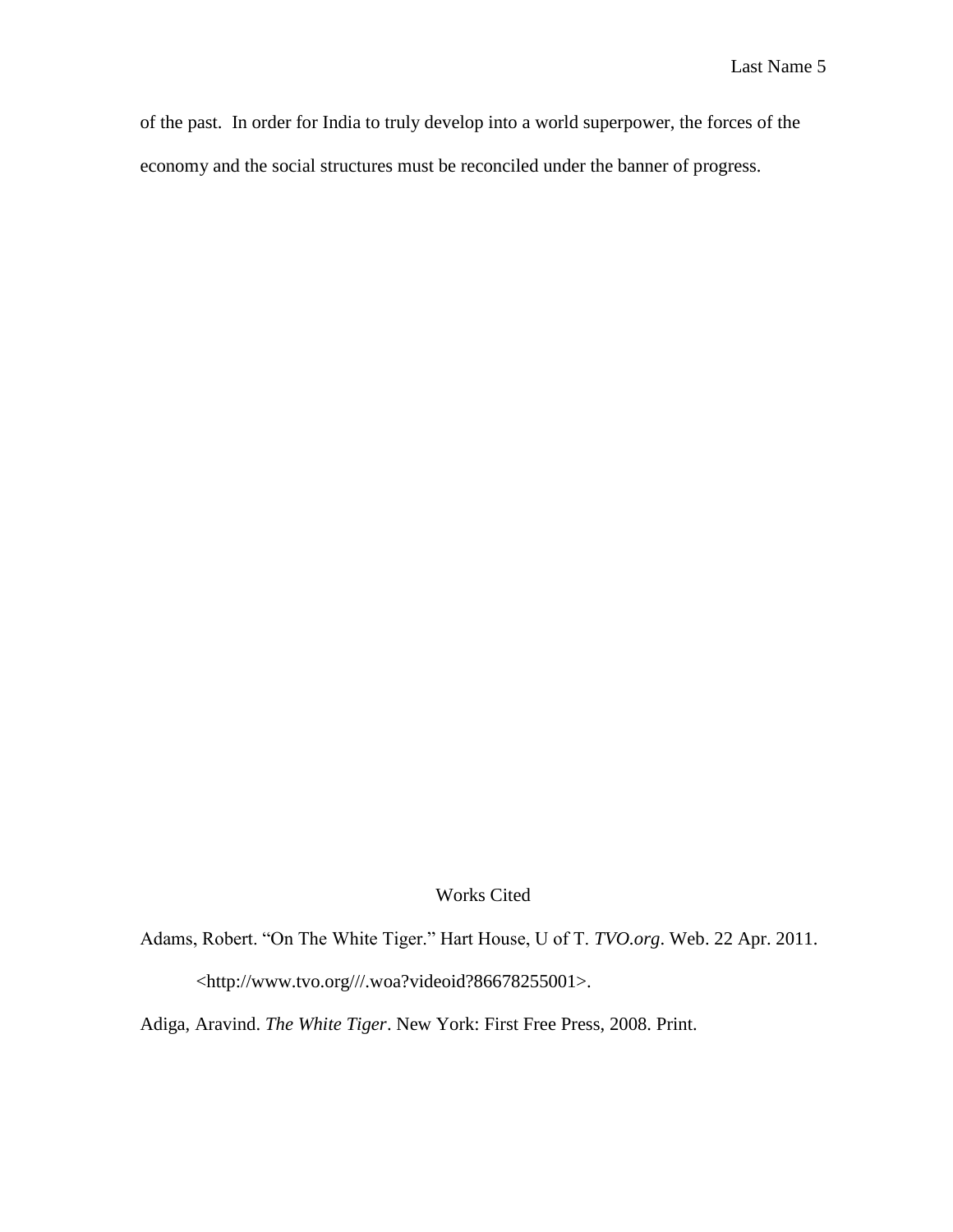of the past. In order for India to truly develop into a world superpower, the forces of the economy and the social structures must be reconciled under the banner of progress.

## Works Cited

Adams, Robert. "On The White Tiger." Hart House, U of T. *TVO.org*. Web. 22 Apr. 2011. <http://www.tvo.org///.woa?videoid?86678255001>.

Adiga, Aravind. *The White Tiger*. New York: First Free Press, 2008. Print.